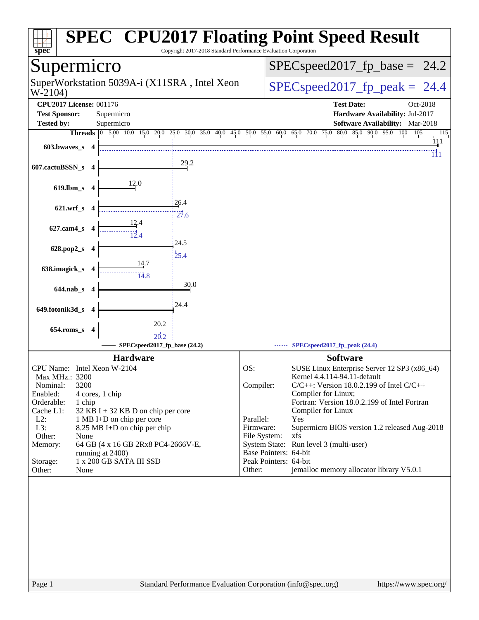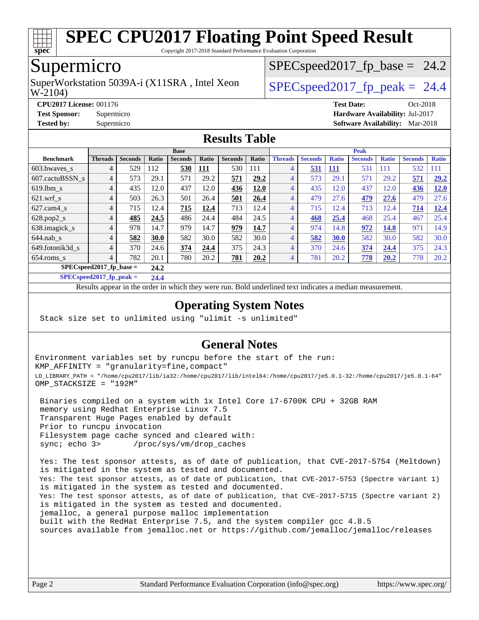

Copyright 2017-2018 Standard Performance Evaluation Corporation

## Supermicro

W-2104) SuperWorkstation 5039A-i (X11SRA, Intel Xeon  $\big|$  SPECspeed2017 fp\_peak = 24.4

 $SPECspeed2017_fp\_base = 24.2$ 

**[CPU2017 License:](http://www.spec.org/auto/cpu2017/Docs/result-fields.html#CPU2017License)** 001176 **[Test Date:](http://www.spec.org/auto/cpu2017/Docs/result-fields.html#TestDate)** Oct-2018

**[Test Sponsor:](http://www.spec.org/auto/cpu2017/Docs/result-fields.html#TestSponsor)** Supermicro **[Hardware Availability:](http://www.spec.org/auto/cpu2017/Docs/result-fields.html#HardwareAvailability)** Jul-2017

**[Tested by:](http://www.spec.org/auto/cpu2017/Docs/result-fields.html#Testedby)** Supermicro **[Software Availability:](http://www.spec.org/auto/cpu2017/Docs/result-fields.html#SoftwareAvailability)** Mar-2018

#### **[Results Table](http://www.spec.org/auto/cpu2017/Docs/result-fields.html#ResultsTable)**

|                           | <b>Base</b>    |                |       |                |            |                | <b>Peak</b> |                |                |              |                |              |                |              |
|---------------------------|----------------|----------------|-------|----------------|------------|----------------|-------------|----------------|----------------|--------------|----------------|--------------|----------------|--------------|
| <b>Benchmark</b>          | <b>Threads</b> | <b>Seconds</b> | Ratio | <b>Seconds</b> | Ratio      | <b>Seconds</b> | Ratio       | <b>Threads</b> | <b>Seconds</b> | <b>Ratio</b> | <b>Seconds</b> | <b>Ratio</b> | <b>Seconds</b> | <b>Ratio</b> |
| $603.bwaves$ s            | 4              | 529            | 112   | 530            | <u>111</u> | 530            | 111         | 4              | 531            | <b>111</b>   | 531            | 111          | 532            | 111          |
| 607.cactuBSSN s           | 4              | 573            | 29.1  | 571            | 29.2       | 571            | 29.2        | $\overline{4}$ | 573            | 29.1         | 571            | 29.2         | 571            | 29.2         |
| $619.1$ bm s              | $\overline{4}$ | 435            | 12.0  | 437            | 12.0       | 436            | 12.0        | $\overline{4}$ | 435            | 12.0         | 437            | 12.0         | 436            | 12.0         |
| $621.wrf$ <sub>s</sub>    | 4              | 503            | 26.3  | 501            | 26.4       | 501            | 26.4        | $\overline{4}$ | 479            | 27.6         | 479            | 27.6         | 479            | 27.6         |
| $627$ .cam $4$ s          | 4              | 715            | 12.4  | 715            | 12.4       | 713            | 12.4        | $\overline{4}$ | 715            | 12.4         | 713            | 12.4         | 714            | 12.4         |
| $628.pop2_s$              | 4              | 485            | 24.5  | 486            | 24.4       | 484            | 24.5        | $\overline{4}$ | 468            | 25.4         | 468            | 25.4         | 467            | 25.4         |
| 638.imagick_s             | 4              | 978            | 14.7  | 979            | 14.7       | 979            | 14.7        | $\overline{4}$ | 974            | 14.8         | 972            | 14.8         | 971            | 14.9         |
| $644$ .nab s              | $\overline{4}$ | 582            | 30.0  | 582            | 30.0       | 582            | 30.0        | $\overline{4}$ | 582            | 30.0         | 582            | 30.0         | 582            | 30.0         |
| 649.fotonik3d s           | 4              | 370            | 24.6  | 374            | 24.4       | 375            | 24.3        | $\overline{4}$ | 370            | 24.6         | 374            | 24.4         | 375            | 24.3         |
| $654$ .roms s             | 4              | 782            | 20.1  | 780            | 20.2       | 781            | 20.2        | $\overline{4}$ | 781            | 20.2         | 778            | 20.2         | 778            | 20.2         |
| $SPECspeed2017$ fp base = |                | 24.2           |       |                |            |                |             |                |                |              |                |              |                |              |

**[SPECspeed2017\\_fp\\_peak =](http://www.spec.org/auto/cpu2017/Docs/result-fields.html#SPECspeed2017fppeak) 24.4**

Results appear in the [order in which they were run.](http://www.spec.org/auto/cpu2017/Docs/result-fields.html#RunOrder) Bold underlined text [indicates a median measurement](http://www.spec.org/auto/cpu2017/Docs/result-fields.html#Median).

#### **[Operating System Notes](http://www.spec.org/auto/cpu2017/Docs/result-fields.html#OperatingSystemNotes)**

Stack size set to unlimited using "ulimit -s unlimited"

#### **[General Notes](http://www.spec.org/auto/cpu2017/Docs/result-fields.html#GeneralNotes)**

Environment variables set by runcpu before the start of the run: KMP\_AFFINITY = "granularity=fine,compact" LD\_LIBRARY\_PATH = "/home/cpu2017/lib/ia32:/home/cpu2017/lib/intel64:/home/cpu2017/je5.0.1-32:/home/cpu2017/je5.0.1-64" OMP\_STACKSIZE = "192M"

 Binaries compiled on a system with 1x Intel Core i7-6700K CPU + 32GB RAM memory using Redhat Enterprise Linux 7.5 Transparent Huge Pages enabled by default Prior to runcpu invocation Filesystem page cache synced and cleared with: sync; echo 3> /proc/sys/vm/drop\_caches

 Yes: The test sponsor attests, as of date of publication, that CVE-2017-5754 (Meltdown) is mitigated in the system as tested and documented. Yes: The test sponsor attests, as of date of publication, that CVE-2017-5753 (Spectre variant 1) is mitigated in the system as tested and documented. Yes: The test sponsor attests, as of date of publication, that CVE-2017-5715 (Spectre variant 2) is mitigated in the system as tested and documented. jemalloc, a general purpose malloc implementation built with the RedHat Enterprise 7.5, and the system compiler gcc 4.8.5 sources available from jemalloc.net or <https://github.com/jemalloc/jemalloc/releases>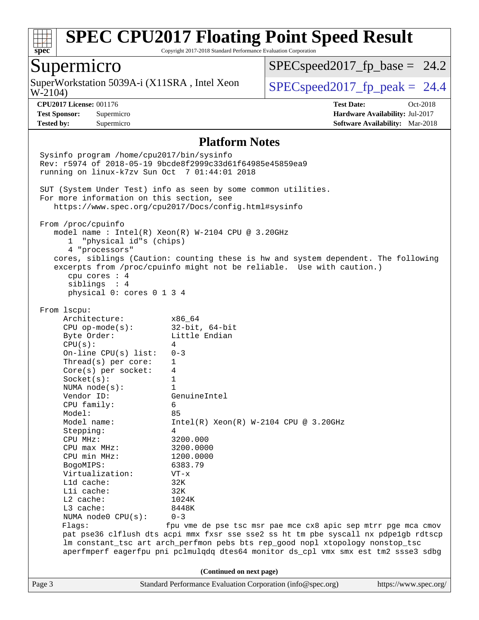

Copyright 2017-2018 Standard Performance Evaluation Corporation

### Supermicro

W-2104) SuperWorkstation 5039A-i (X11SRA, Intel Xeon  $\big|$  [SPECspeed2017\\_fp\\_peak =](http://www.spec.org/auto/cpu2017/Docs/result-fields.html#SPECspeed2017fppeak) 24.4

 $SPECspeed2017_fp\_base = 24.2$ 

**[CPU2017 License:](http://www.spec.org/auto/cpu2017/Docs/result-fields.html#CPU2017License)** 001176 **[Test Date:](http://www.spec.org/auto/cpu2017/Docs/result-fields.html#TestDate)** Oct-2018 **[Test Sponsor:](http://www.spec.org/auto/cpu2017/Docs/result-fields.html#TestSponsor)** Supermicro **[Hardware Availability:](http://www.spec.org/auto/cpu2017/Docs/result-fields.html#HardwareAvailability)** Jul-2017 **[Tested by:](http://www.spec.org/auto/cpu2017/Docs/result-fields.html#Testedby)** Supermicro **[Software Availability:](http://www.spec.org/auto/cpu2017/Docs/result-fields.html#SoftwareAvailability)** Mar-2018

#### **[Platform Notes](http://www.spec.org/auto/cpu2017/Docs/result-fields.html#PlatformNotes)**

Page 3 Standard Performance Evaluation Corporation [\(info@spec.org\)](mailto:info@spec.org) <https://www.spec.org/> Sysinfo program /home/cpu2017/bin/sysinfo Rev: r5974 of 2018-05-19 9bcde8f2999c33d61f64985e45859ea9 running on linux-k7zv Sun Oct 7 01:44:01 2018 SUT (System Under Test) info as seen by some common utilities. For more information on this section, see <https://www.spec.org/cpu2017/Docs/config.html#sysinfo> From /proc/cpuinfo model name : Intel(R) Xeon(R) W-2104 CPU @ 3.20GHz 1 "physical id"s (chips) 4 "processors" cores, siblings (Caution: counting these is hw and system dependent. The following excerpts from /proc/cpuinfo might not be reliable. Use with caution.) cpu cores : 4 siblings : 4 physical 0: cores 0 1 3 4 From lscpu: Architecture: x86\_64 CPU op-mode(s): 32-bit, 64-bit Byte Order: Little Endian  $CPU(s):$  4 On-line CPU(s) list: 0-3 Thread(s) per core: 1 Core(s) per socket: 4 Socket(s): 1 NUMA node(s): 1 Vendor ID: GenuineIntel CPU family: 6 Model: 85<br>Model name: 1n  $Intel(R)$  Xeon(R) W-2104 CPU @ 3.20GHz Stepping: 4 CPU MHz: 3200.000 CPU max MHz: 3200.0000 CPU min MHz: 1200.0000 BogoMIPS: 6383.79 Virtualization: VT-x L1d cache: 32K L1i cache: 32K L2 cache: 1024K L3 cache: 8448K NUMA node0 CPU(s): 0-3 Flags: fpu vme de pse tsc msr pae mce cx8 apic sep mtrr pge mca cmov pat pse36 clflush dts acpi mmx fxsr sse sse2 ss ht tm pbe syscall nx pdpe1gb rdtscp lm constant\_tsc art arch\_perfmon pebs bts rep\_good nopl xtopology nonstop\_tsc aperfmperf eagerfpu pni pclmulqdq dtes64 monitor ds\_cpl vmx smx est tm2 ssse3 sdbg **(Continued on next page)**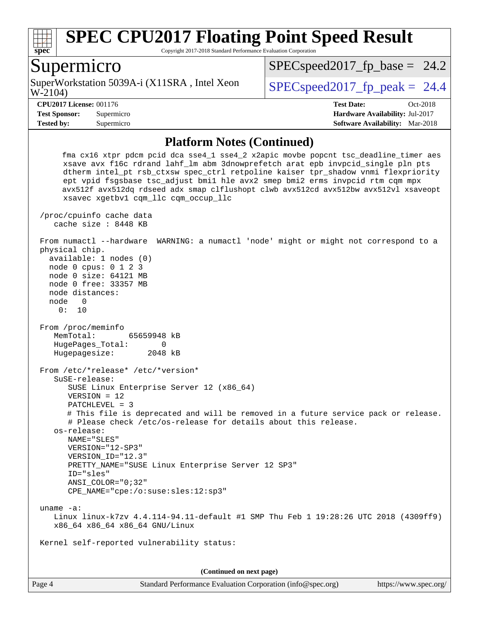

Copyright 2017-2018 Standard Performance Evaluation Corporation

#### Supermicro

W-2104) SuperWorkstation 5039A-i (X11SRA, Intel Xeon  $\big|$  SPECspeed2017 fp\_peak = 24.4

 $SPECspeed2017_fp\_base = 24.2$ 

**[Tested by:](http://www.spec.org/auto/cpu2017/Docs/result-fields.html#Testedby)** Supermicro **[Software Availability:](http://www.spec.org/auto/cpu2017/Docs/result-fields.html#SoftwareAvailability)** Mar-2018

**[CPU2017 License:](http://www.spec.org/auto/cpu2017/Docs/result-fields.html#CPU2017License)** 001176 **[Test Date:](http://www.spec.org/auto/cpu2017/Docs/result-fields.html#TestDate)** Oct-2018 **[Test Sponsor:](http://www.spec.org/auto/cpu2017/Docs/result-fields.html#TestSponsor)** Supermicro **[Hardware Availability:](http://www.spec.org/auto/cpu2017/Docs/result-fields.html#HardwareAvailability)** Jul-2017

#### **[Platform Notes \(Continued\)](http://www.spec.org/auto/cpu2017/Docs/result-fields.html#PlatformNotes)**

 fma cx16 xtpr pdcm pcid dca sse4\_1 sse4\_2 x2apic movbe popcnt tsc\_deadline\_timer aes xsave avx f16c rdrand lahf\_lm abm 3dnowprefetch arat epb invpcid\_single pln pts dtherm intel\_pt rsb\_ctxsw spec\_ctrl retpoline kaiser tpr\_shadow vnmi flexpriority ept vpid fsgsbase tsc\_adjust bmi1 hle avx2 smep bmi2 erms invpcid rtm cqm mpx avx512f avx512dq rdseed adx smap clflushopt clwb avx512cd avx512bw avx512vl xsaveopt xsavec xgetbv1 cqm\_llc cqm\_occup\_llc /proc/cpuinfo cache data cache size : 8448 KB From numactl --hardware WARNING: a numactl 'node' might or might not correspond to a physical chip. available: 1 nodes (0) node 0 cpus: 0 1 2 3 node 0 size: 64121 MB node 0 free: 33357 MB node distances: node 0 0: 10 From /proc/meminfo MemTotal: 65659948 kB HugePages\_Total: 0 Hugepagesize: 2048 kB From /etc/\*release\* /etc/\*version\* SuSE-release: SUSE Linux Enterprise Server 12 (x86\_64) VERSION = 12 PATCHLEVEL = 3 # This file is deprecated and will be removed in a future service pack or release. # Please check /etc/os-release for details about this release. os-release: NAME="SLES" VERSION="12-SP3" VERSION\_ID="12.3" PRETTY\_NAME="SUSE Linux Enterprise Server 12 SP3" ID="sles" ANSI\_COLOR="0;32" CPE\_NAME="cpe:/o:suse:sles:12:sp3" uname -a: Linux linux-k7zv 4.4.114-94.11-default #1 SMP Thu Feb 1 19:28:26 UTC 2018 (4309ff9) x86\_64 x86\_64 x86\_64 GNU/Linux Kernel self-reported vulnerability status: **(Continued on next page)**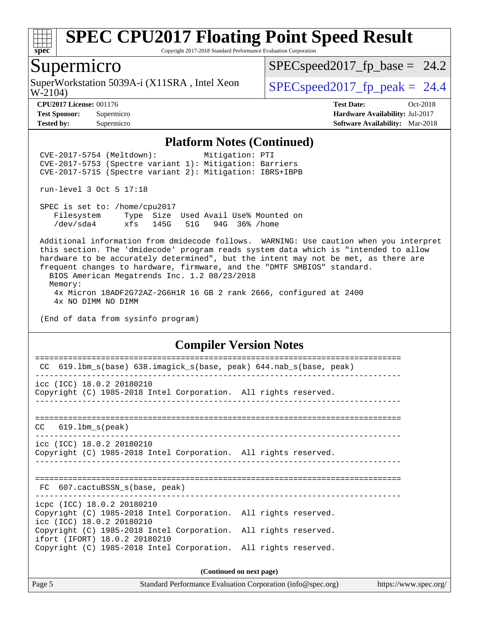

Copyright 2017-2018 Standard Performance Evaluation Corporation

#### Supermicro

W-2104) SuperWorkstation 5039A-i (X11SRA, Intel Xeon  $\big|$  [SPECspeed2017\\_fp\\_peak =](http://www.spec.org/auto/cpu2017/Docs/result-fields.html#SPECspeed2017fppeak) 24.4

 $SPECspeed2017_fp\_base = 24.2$ 

**[Tested by:](http://www.spec.org/auto/cpu2017/Docs/result-fields.html#Testedby)** Supermicro **[Software Availability:](http://www.spec.org/auto/cpu2017/Docs/result-fields.html#SoftwareAvailability)** Mar-2018

**[CPU2017 License:](http://www.spec.org/auto/cpu2017/Docs/result-fields.html#CPU2017License)** 001176 **[Test Date:](http://www.spec.org/auto/cpu2017/Docs/result-fields.html#TestDate)** Oct-2018 **[Test Sponsor:](http://www.spec.org/auto/cpu2017/Docs/result-fields.html#TestSponsor)** Supermicro **[Hardware Availability:](http://www.spec.org/auto/cpu2017/Docs/result-fields.html#HardwareAvailability)** Jul-2017

#### **[Platform Notes \(Continued\)](http://www.spec.org/auto/cpu2017/Docs/result-fields.html#PlatformNotes)**

 CVE-2017-5754 (Meltdown): Mitigation: PTI CVE-2017-5753 (Spectre variant 1): Mitigation: Barriers CVE-2017-5715 (Spectre variant 2): Mitigation: IBRS+IBPB

run-level 3 Oct 5 17:18

 SPEC is set to: /home/cpu2017 Filesystem Type Size Used Avail Use% Mounted on /dev/sda4 xfs 145G 51G 94G 36% /home

 Additional information from dmidecode follows. WARNING: Use caution when you interpret this section. The 'dmidecode' program reads system data which is "intended to allow hardware to be accurately determined", but the intent may not be met, as there are frequent changes to hardware, firmware, and the "DMTF SMBIOS" standard. BIOS American Megatrends Inc. 1.2 08/23/2018 Memory:

 4x Micron 18ADF2G72AZ-2G6H1R 16 GB 2 rank 2666, configured at 2400 4x NO DIMM NO DIMM

(End of data from sysinfo program)

#### **[Compiler Version Notes](http://www.spec.org/auto/cpu2017/Docs/result-fields.html#CompilerVersionNotes)**

| 619.1bm_s(base) 638.imagick_s(base, peak) 644.nab_s(base, peak)<br>CC                                                      |                          |
|----------------------------------------------------------------------------------------------------------------------------|--------------------------|
| icc (ICC) 18.0.2 20180210<br>Copyright (C) 1985-2018 Intel Corporation. All rights reserved.                               |                          |
| $CC$ 619.1bm $s$ (peak)                                                                                                    |                          |
| icc (ICC) 18.0.2 20180210<br>Copyright (C) 1985-2018 Intel Corporation. All rights reserved.                               |                          |
| FC 607.cactuBSSN s(base, peak)                                                                                             |                          |
| icpc (ICC) 18.0.2 20180210<br>Copyright (C) 1985-2018 Intel Corporation. All rights reserved.<br>icc (ICC) 18.0.2 20180210 |                          |
| Copyright (C) 1985-2018 Intel Corporation. All rights reserved.<br>ifort (IFORT) 18.0.2 20180210                           |                          |
| Copyright (C) 1985-2018 Intel Corporation. All rights reserved.                                                            |                          |
|                                                                                                                            | (Continued on next page) |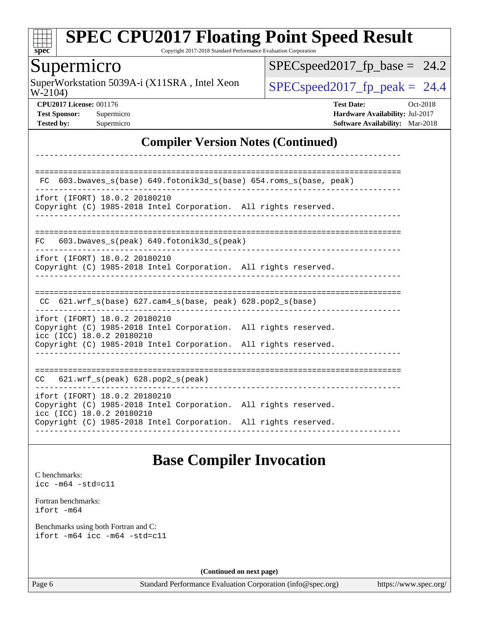

Copyright 2017-2018 Standard Performance Evaluation Corporation

## Supermicro

W-2104) SuperWorkstation 5039A-i (X11SRA, Intel Xeon  $\big|$  [SPECspeed2017\\_fp\\_peak =](http://www.spec.org/auto/cpu2017/Docs/result-fields.html#SPECspeed2017fppeak) 24.4

 $SPEC speed2017_fp\_base = 24.2$ 

**[CPU2017 License:](http://www.spec.org/auto/cpu2017/Docs/result-fields.html#CPU2017License)** 001176 **[Test Date:](http://www.spec.org/auto/cpu2017/Docs/result-fields.html#TestDate)** Oct-2018 **[Test Sponsor:](http://www.spec.org/auto/cpu2017/Docs/result-fields.html#TestSponsor)** Supermicro **[Hardware Availability:](http://www.spec.org/auto/cpu2017/Docs/result-fields.html#HardwareAvailability)** Jul-2017 **[Tested by:](http://www.spec.org/auto/cpu2017/Docs/result-fields.html#Testedby)** Supermicro **[Software Availability:](http://www.spec.org/auto/cpu2017/Docs/result-fields.html#SoftwareAvailability)** Mar-2018

#### **[Compiler Version Notes \(Continued\)](http://www.spec.org/auto/cpu2017/Docs/result-fields.html#CompilerVersionNotes)**

| 603.bwaves_s(base) 649.fotonik3d_s(base) 654.roms_s(base, peak)<br>FC.                                                                                                                           |  |
|--------------------------------------------------------------------------------------------------------------------------------------------------------------------------------------------------|--|
| ifort (IFORT) 18.0.2 20180210<br>Copyright (C) 1985-2018 Intel Corporation. All rights reserved.                                                                                                 |  |
| $603.bwaves$ s(peak) $649.fotonik3d$ s(peak)<br>FC.                                                                                                                                              |  |
| ifort (IFORT) 18.0.2 20180210<br>Copyright (C) 1985-2018 Intel Corporation. All rights reserved.                                                                                                 |  |
| $621.wrf_s(base)$ $627.cam4_s(base, peak)$ $628.pop2_s(base)$<br>CC.                                                                                                                             |  |
| ifort (IFORT) 18.0.2 20180210<br>Copyright (C) 1985-2018 Intel Corporation. All rights reserved.<br>icc (ICC) 18.0.2 20180210<br>Copyright (C) 1985-2018 Intel Corporation. All rights reserved. |  |
|                                                                                                                                                                                                  |  |
| $621.wrf$ s(peak) $628.pop2$ s(peak)<br>CC                                                                                                                                                       |  |
| ifort (IFORT) 18.0.2 20180210<br>Copyright (C) 1985-2018 Intel Corporation. All rights reserved.<br>icc (ICC) 18.0.2 20180210<br>Copyright (C) 1985-2018 Intel Corporation. All rights reserved. |  |
|                                                                                                                                                                                                  |  |

## **[Base Compiler Invocation](http://www.spec.org/auto/cpu2017/Docs/result-fields.html#BaseCompilerInvocation)**

[C benchmarks](http://www.spec.org/auto/cpu2017/Docs/result-fields.html#Cbenchmarks): [icc -m64 -std=c11](http://www.spec.org/cpu2017/results/res2018q4/cpu2017-20181015-09238.flags.html#user_CCbase_intel_icc_64bit_c11_33ee0cdaae7deeeab2a9725423ba97205ce30f63b9926c2519791662299b76a0318f32ddfffdc46587804de3178b4f9328c46fa7c2b0cd779d7a61945c91cd35)

[Fortran benchmarks](http://www.spec.org/auto/cpu2017/Docs/result-fields.html#Fortranbenchmarks): [ifort -m64](http://www.spec.org/cpu2017/results/res2018q4/cpu2017-20181015-09238.flags.html#user_FCbase_intel_ifort_64bit_24f2bb282fbaeffd6157abe4f878425411749daecae9a33200eee2bee2fe76f3b89351d69a8130dd5949958ce389cf37ff59a95e7a40d588e8d3a57e0c3fd751)

[Benchmarks using both Fortran and C](http://www.spec.org/auto/cpu2017/Docs/result-fields.html#BenchmarksusingbothFortranandC): [ifort -m64](http://www.spec.org/cpu2017/results/res2018q4/cpu2017-20181015-09238.flags.html#user_CC_FCbase_intel_ifort_64bit_24f2bb282fbaeffd6157abe4f878425411749daecae9a33200eee2bee2fe76f3b89351d69a8130dd5949958ce389cf37ff59a95e7a40d588e8d3a57e0c3fd751) [icc -m64 -std=c11](http://www.spec.org/cpu2017/results/res2018q4/cpu2017-20181015-09238.flags.html#user_CC_FCbase_intel_icc_64bit_c11_33ee0cdaae7deeeab2a9725423ba97205ce30f63b9926c2519791662299b76a0318f32ddfffdc46587804de3178b4f9328c46fa7c2b0cd779d7a61945c91cd35)

**(Continued on next page)**

Page 6 Standard Performance Evaluation Corporation [\(info@spec.org\)](mailto:info@spec.org) <https://www.spec.org/>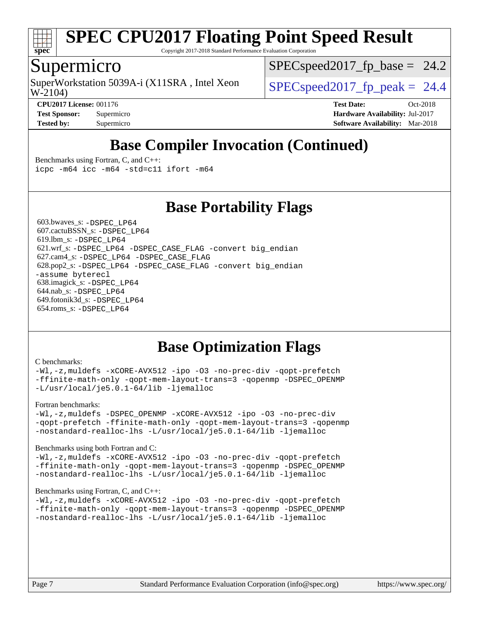

Copyright 2017-2018 Standard Performance Evaluation Corporation

#### Supermicro

W-2104) SuperWorkstation 5039A-i (X11SRA, Intel Xeon  $\big|$  SPECspeed2017 fp\_peak = 24.4

 $SPECspeed2017_fp\_base = 24.2$ 

**[CPU2017 License:](http://www.spec.org/auto/cpu2017/Docs/result-fields.html#CPU2017License)** 001176 **[Test Date:](http://www.spec.org/auto/cpu2017/Docs/result-fields.html#TestDate)** Oct-2018 **[Test Sponsor:](http://www.spec.org/auto/cpu2017/Docs/result-fields.html#TestSponsor)** Supermicro **[Hardware Availability:](http://www.spec.org/auto/cpu2017/Docs/result-fields.html#HardwareAvailability)** Jul-2017 **[Tested by:](http://www.spec.org/auto/cpu2017/Docs/result-fields.html#Testedby)** Supermicro **[Software Availability:](http://www.spec.org/auto/cpu2017/Docs/result-fields.html#SoftwareAvailability)** Mar-2018

## **[Base Compiler Invocation \(Continued\)](http://www.spec.org/auto/cpu2017/Docs/result-fields.html#BaseCompilerInvocation)**

[Benchmarks using Fortran, C, and C++:](http://www.spec.org/auto/cpu2017/Docs/result-fields.html#BenchmarksusingFortranCandCXX) [icpc -m64](http://www.spec.org/cpu2017/results/res2018q4/cpu2017-20181015-09238.flags.html#user_CC_CXX_FCbase_intel_icpc_64bit_4ecb2543ae3f1412ef961e0650ca070fec7b7afdcd6ed48761b84423119d1bf6bdf5cad15b44d48e7256388bc77273b966e5eb805aefd121eb22e9299b2ec9d9) [icc -m64 -std=c11](http://www.spec.org/cpu2017/results/res2018q4/cpu2017-20181015-09238.flags.html#user_CC_CXX_FCbase_intel_icc_64bit_c11_33ee0cdaae7deeeab2a9725423ba97205ce30f63b9926c2519791662299b76a0318f32ddfffdc46587804de3178b4f9328c46fa7c2b0cd779d7a61945c91cd35) [ifort -m64](http://www.spec.org/cpu2017/results/res2018q4/cpu2017-20181015-09238.flags.html#user_CC_CXX_FCbase_intel_ifort_64bit_24f2bb282fbaeffd6157abe4f878425411749daecae9a33200eee2bee2fe76f3b89351d69a8130dd5949958ce389cf37ff59a95e7a40d588e8d3a57e0c3fd751)

**[Base Portability Flags](http://www.spec.org/auto/cpu2017/Docs/result-fields.html#BasePortabilityFlags)**

 603.bwaves\_s: [-DSPEC\\_LP64](http://www.spec.org/cpu2017/results/res2018q4/cpu2017-20181015-09238.flags.html#suite_basePORTABILITY603_bwaves_s_DSPEC_LP64) 607.cactuBSSN\_s: [-DSPEC\\_LP64](http://www.spec.org/cpu2017/results/res2018q4/cpu2017-20181015-09238.flags.html#suite_basePORTABILITY607_cactuBSSN_s_DSPEC_LP64) 619.lbm\_s: [-DSPEC\\_LP64](http://www.spec.org/cpu2017/results/res2018q4/cpu2017-20181015-09238.flags.html#suite_basePORTABILITY619_lbm_s_DSPEC_LP64) 621.wrf\_s: [-DSPEC\\_LP64](http://www.spec.org/cpu2017/results/res2018q4/cpu2017-20181015-09238.flags.html#suite_basePORTABILITY621_wrf_s_DSPEC_LP64) [-DSPEC\\_CASE\\_FLAG](http://www.spec.org/cpu2017/results/res2018q4/cpu2017-20181015-09238.flags.html#b621.wrf_s_baseCPORTABILITY_DSPEC_CASE_FLAG) [-convert big\\_endian](http://www.spec.org/cpu2017/results/res2018q4/cpu2017-20181015-09238.flags.html#user_baseFPORTABILITY621_wrf_s_convert_big_endian_c3194028bc08c63ac5d04de18c48ce6d347e4e562e8892b8bdbdc0214820426deb8554edfa529a3fb25a586e65a3d812c835984020483e7e73212c4d31a38223) 627.cam4\_s: [-DSPEC\\_LP64](http://www.spec.org/cpu2017/results/res2018q4/cpu2017-20181015-09238.flags.html#suite_basePORTABILITY627_cam4_s_DSPEC_LP64) [-DSPEC\\_CASE\\_FLAG](http://www.spec.org/cpu2017/results/res2018q4/cpu2017-20181015-09238.flags.html#b627.cam4_s_baseCPORTABILITY_DSPEC_CASE_FLAG) 628.pop2\_s: [-DSPEC\\_LP64](http://www.spec.org/cpu2017/results/res2018q4/cpu2017-20181015-09238.flags.html#suite_basePORTABILITY628_pop2_s_DSPEC_LP64) [-DSPEC\\_CASE\\_FLAG](http://www.spec.org/cpu2017/results/res2018q4/cpu2017-20181015-09238.flags.html#b628.pop2_s_baseCPORTABILITY_DSPEC_CASE_FLAG) [-convert big\\_endian](http://www.spec.org/cpu2017/results/res2018q4/cpu2017-20181015-09238.flags.html#user_baseFPORTABILITY628_pop2_s_convert_big_endian_c3194028bc08c63ac5d04de18c48ce6d347e4e562e8892b8bdbdc0214820426deb8554edfa529a3fb25a586e65a3d812c835984020483e7e73212c4d31a38223) [-assume byterecl](http://www.spec.org/cpu2017/results/res2018q4/cpu2017-20181015-09238.flags.html#user_baseFPORTABILITY628_pop2_s_assume_byterecl_7e47d18b9513cf18525430bbf0f2177aa9bf368bc7a059c09b2c06a34b53bd3447c950d3f8d6c70e3faf3a05c8557d66a5798b567902e8849adc142926523472) 638.imagick\_s: [-DSPEC\\_LP64](http://www.spec.org/cpu2017/results/res2018q4/cpu2017-20181015-09238.flags.html#suite_basePORTABILITY638_imagick_s_DSPEC_LP64) 644.nab\_s: [-DSPEC\\_LP64](http://www.spec.org/cpu2017/results/res2018q4/cpu2017-20181015-09238.flags.html#suite_basePORTABILITY644_nab_s_DSPEC_LP64) 649.fotonik3d\_s: [-DSPEC\\_LP64](http://www.spec.org/cpu2017/results/res2018q4/cpu2017-20181015-09238.flags.html#suite_basePORTABILITY649_fotonik3d_s_DSPEC_LP64) 654.roms\_s: [-DSPEC\\_LP64](http://www.spec.org/cpu2017/results/res2018q4/cpu2017-20181015-09238.flags.html#suite_basePORTABILITY654_roms_s_DSPEC_LP64)

## **[Base Optimization Flags](http://www.spec.org/auto/cpu2017/Docs/result-fields.html#BaseOptimizationFlags)**

#### [C benchmarks](http://www.spec.org/auto/cpu2017/Docs/result-fields.html#Cbenchmarks):

[-Wl,-z,muldefs](http://www.spec.org/cpu2017/results/res2018q4/cpu2017-20181015-09238.flags.html#user_CCbase_link_force_multiple1_b4cbdb97b34bdee9ceefcfe54f4c8ea74255f0b02a4b23e853cdb0e18eb4525ac79b5a88067c842dd0ee6996c24547a27a4b99331201badda8798ef8a743f577) [-xCORE-AVX512](http://www.spec.org/cpu2017/results/res2018q4/cpu2017-20181015-09238.flags.html#user_CCbase_f-xCORE-AVX512) [-ipo](http://www.spec.org/cpu2017/results/res2018q4/cpu2017-20181015-09238.flags.html#user_CCbase_f-ipo) [-O3](http://www.spec.org/cpu2017/results/res2018q4/cpu2017-20181015-09238.flags.html#user_CCbase_f-O3) [-no-prec-div](http://www.spec.org/cpu2017/results/res2018q4/cpu2017-20181015-09238.flags.html#user_CCbase_f-no-prec-div) [-qopt-prefetch](http://www.spec.org/cpu2017/results/res2018q4/cpu2017-20181015-09238.flags.html#user_CCbase_f-qopt-prefetch) [-ffinite-math-only](http://www.spec.org/cpu2017/results/res2018q4/cpu2017-20181015-09238.flags.html#user_CCbase_f_finite_math_only_cb91587bd2077682c4b38af759c288ed7c732db004271a9512da14a4f8007909a5f1427ecbf1a0fb78ff2a814402c6114ac565ca162485bbcae155b5e4258871) [-qopt-mem-layout-trans=3](http://www.spec.org/cpu2017/results/res2018q4/cpu2017-20181015-09238.flags.html#user_CCbase_f-qopt-mem-layout-trans_de80db37974c74b1f0e20d883f0b675c88c3b01e9d123adea9b28688d64333345fb62bc4a798493513fdb68f60282f9a726aa07f478b2f7113531aecce732043) [-qopenmp](http://www.spec.org/cpu2017/results/res2018q4/cpu2017-20181015-09238.flags.html#user_CCbase_qopenmp_16be0c44f24f464004c6784a7acb94aca937f053568ce72f94b139a11c7c168634a55f6653758ddd83bcf7b8463e8028bb0b48b77bcddc6b78d5d95bb1df2967) [-DSPEC\\_OPENMP](http://www.spec.org/cpu2017/results/res2018q4/cpu2017-20181015-09238.flags.html#suite_CCbase_DSPEC_OPENMP) [-L/usr/local/je5.0.1-64/lib](http://www.spec.org/cpu2017/results/res2018q4/cpu2017-20181015-09238.flags.html#user_CCbase_jemalloc_link_path64_4b10a636b7bce113509b17f3bd0d6226c5fb2346b9178c2d0232c14f04ab830f976640479e5c33dc2bcbbdad86ecfb6634cbbd4418746f06f368b512fced5394) [-ljemalloc](http://www.spec.org/cpu2017/results/res2018q4/cpu2017-20181015-09238.flags.html#user_CCbase_jemalloc_link_lib_d1249b907c500fa1c0672f44f562e3d0f79738ae9e3c4a9c376d49f265a04b9c99b167ecedbf6711b3085be911c67ff61f150a17b3472be731631ba4d0471706)

[Fortran benchmarks](http://www.spec.org/auto/cpu2017/Docs/result-fields.html#Fortranbenchmarks):

[-Wl,-z,muldefs](http://www.spec.org/cpu2017/results/res2018q4/cpu2017-20181015-09238.flags.html#user_FCbase_link_force_multiple1_b4cbdb97b34bdee9ceefcfe54f4c8ea74255f0b02a4b23e853cdb0e18eb4525ac79b5a88067c842dd0ee6996c24547a27a4b99331201badda8798ef8a743f577) [-DSPEC\\_OPENMP](http://www.spec.org/cpu2017/results/res2018q4/cpu2017-20181015-09238.flags.html#suite_FCbase_DSPEC_OPENMP) [-xCORE-AVX512](http://www.spec.org/cpu2017/results/res2018q4/cpu2017-20181015-09238.flags.html#user_FCbase_f-xCORE-AVX512) [-ipo](http://www.spec.org/cpu2017/results/res2018q4/cpu2017-20181015-09238.flags.html#user_FCbase_f-ipo) [-O3](http://www.spec.org/cpu2017/results/res2018q4/cpu2017-20181015-09238.flags.html#user_FCbase_f-O3) [-no-prec-div](http://www.spec.org/cpu2017/results/res2018q4/cpu2017-20181015-09238.flags.html#user_FCbase_f-no-prec-div) [-qopt-prefetch](http://www.spec.org/cpu2017/results/res2018q4/cpu2017-20181015-09238.flags.html#user_FCbase_f-qopt-prefetch) [-ffinite-math-only](http://www.spec.org/cpu2017/results/res2018q4/cpu2017-20181015-09238.flags.html#user_FCbase_f_finite_math_only_cb91587bd2077682c4b38af759c288ed7c732db004271a9512da14a4f8007909a5f1427ecbf1a0fb78ff2a814402c6114ac565ca162485bbcae155b5e4258871) [-qopt-mem-layout-trans=3](http://www.spec.org/cpu2017/results/res2018q4/cpu2017-20181015-09238.flags.html#user_FCbase_f-qopt-mem-layout-trans_de80db37974c74b1f0e20d883f0b675c88c3b01e9d123adea9b28688d64333345fb62bc4a798493513fdb68f60282f9a726aa07f478b2f7113531aecce732043) [-qopenmp](http://www.spec.org/cpu2017/results/res2018q4/cpu2017-20181015-09238.flags.html#user_FCbase_qopenmp_16be0c44f24f464004c6784a7acb94aca937f053568ce72f94b139a11c7c168634a55f6653758ddd83bcf7b8463e8028bb0b48b77bcddc6b78d5d95bb1df2967) [-nostandard-realloc-lhs](http://www.spec.org/cpu2017/results/res2018q4/cpu2017-20181015-09238.flags.html#user_FCbase_f_2003_std_realloc_82b4557e90729c0f113870c07e44d33d6f5a304b4f63d4c15d2d0f1fab99f5daaed73bdb9275d9ae411527f28b936061aa8b9c8f2d63842963b95c9dd6426b8a) [-L/usr/local/je5.0.1-64/lib](http://www.spec.org/cpu2017/results/res2018q4/cpu2017-20181015-09238.flags.html#user_FCbase_jemalloc_link_path64_4b10a636b7bce113509b17f3bd0d6226c5fb2346b9178c2d0232c14f04ab830f976640479e5c33dc2bcbbdad86ecfb6634cbbd4418746f06f368b512fced5394) [-ljemalloc](http://www.spec.org/cpu2017/results/res2018q4/cpu2017-20181015-09238.flags.html#user_FCbase_jemalloc_link_lib_d1249b907c500fa1c0672f44f562e3d0f79738ae9e3c4a9c376d49f265a04b9c99b167ecedbf6711b3085be911c67ff61f150a17b3472be731631ba4d0471706)

[Benchmarks using both Fortran and C](http://www.spec.org/auto/cpu2017/Docs/result-fields.html#BenchmarksusingbothFortranandC):

[-Wl,-z,muldefs](http://www.spec.org/cpu2017/results/res2018q4/cpu2017-20181015-09238.flags.html#user_CC_FCbase_link_force_multiple1_b4cbdb97b34bdee9ceefcfe54f4c8ea74255f0b02a4b23e853cdb0e18eb4525ac79b5a88067c842dd0ee6996c24547a27a4b99331201badda8798ef8a743f577) [-xCORE-AVX512](http://www.spec.org/cpu2017/results/res2018q4/cpu2017-20181015-09238.flags.html#user_CC_FCbase_f-xCORE-AVX512) [-ipo](http://www.spec.org/cpu2017/results/res2018q4/cpu2017-20181015-09238.flags.html#user_CC_FCbase_f-ipo) [-O3](http://www.spec.org/cpu2017/results/res2018q4/cpu2017-20181015-09238.flags.html#user_CC_FCbase_f-O3) [-no-prec-div](http://www.spec.org/cpu2017/results/res2018q4/cpu2017-20181015-09238.flags.html#user_CC_FCbase_f-no-prec-div) [-qopt-prefetch](http://www.spec.org/cpu2017/results/res2018q4/cpu2017-20181015-09238.flags.html#user_CC_FCbase_f-qopt-prefetch) [-ffinite-math-only](http://www.spec.org/cpu2017/results/res2018q4/cpu2017-20181015-09238.flags.html#user_CC_FCbase_f_finite_math_only_cb91587bd2077682c4b38af759c288ed7c732db004271a9512da14a4f8007909a5f1427ecbf1a0fb78ff2a814402c6114ac565ca162485bbcae155b5e4258871) [-qopt-mem-layout-trans=3](http://www.spec.org/cpu2017/results/res2018q4/cpu2017-20181015-09238.flags.html#user_CC_FCbase_f-qopt-mem-layout-trans_de80db37974c74b1f0e20d883f0b675c88c3b01e9d123adea9b28688d64333345fb62bc4a798493513fdb68f60282f9a726aa07f478b2f7113531aecce732043) [-qopenmp](http://www.spec.org/cpu2017/results/res2018q4/cpu2017-20181015-09238.flags.html#user_CC_FCbase_qopenmp_16be0c44f24f464004c6784a7acb94aca937f053568ce72f94b139a11c7c168634a55f6653758ddd83bcf7b8463e8028bb0b48b77bcddc6b78d5d95bb1df2967) [-DSPEC\\_OPENMP](http://www.spec.org/cpu2017/results/res2018q4/cpu2017-20181015-09238.flags.html#suite_CC_FCbase_DSPEC_OPENMP) [-nostandard-realloc-lhs](http://www.spec.org/cpu2017/results/res2018q4/cpu2017-20181015-09238.flags.html#user_CC_FCbase_f_2003_std_realloc_82b4557e90729c0f113870c07e44d33d6f5a304b4f63d4c15d2d0f1fab99f5daaed73bdb9275d9ae411527f28b936061aa8b9c8f2d63842963b95c9dd6426b8a) [-L/usr/local/je5.0.1-64/lib](http://www.spec.org/cpu2017/results/res2018q4/cpu2017-20181015-09238.flags.html#user_CC_FCbase_jemalloc_link_path64_4b10a636b7bce113509b17f3bd0d6226c5fb2346b9178c2d0232c14f04ab830f976640479e5c33dc2bcbbdad86ecfb6634cbbd4418746f06f368b512fced5394) [-ljemalloc](http://www.spec.org/cpu2017/results/res2018q4/cpu2017-20181015-09238.flags.html#user_CC_FCbase_jemalloc_link_lib_d1249b907c500fa1c0672f44f562e3d0f79738ae9e3c4a9c376d49f265a04b9c99b167ecedbf6711b3085be911c67ff61f150a17b3472be731631ba4d0471706)

#### [Benchmarks using Fortran, C, and C++:](http://www.spec.org/auto/cpu2017/Docs/result-fields.html#BenchmarksusingFortranCandCXX)

[-Wl,-z,muldefs](http://www.spec.org/cpu2017/results/res2018q4/cpu2017-20181015-09238.flags.html#user_CC_CXX_FCbase_link_force_multiple1_b4cbdb97b34bdee9ceefcfe54f4c8ea74255f0b02a4b23e853cdb0e18eb4525ac79b5a88067c842dd0ee6996c24547a27a4b99331201badda8798ef8a743f577) [-xCORE-AVX512](http://www.spec.org/cpu2017/results/res2018q4/cpu2017-20181015-09238.flags.html#user_CC_CXX_FCbase_f-xCORE-AVX512) [-ipo](http://www.spec.org/cpu2017/results/res2018q4/cpu2017-20181015-09238.flags.html#user_CC_CXX_FCbase_f-ipo) [-O3](http://www.spec.org/cpu2017/results/res2018q4/cpu2017-20181015-09238.flags.html#user_CC_CXX_FCbase_f-O3) [-no-prec-div](http://www.spec.org/cpu2017/results/res2018q4/cpu2017-20181015-09238.flags.html#user_CC_CXX_FCbase_f-no-prec-div) [-qopt-prefetch](http://www.spec.org/cpu2017/results/res2018q4/cpu2017-20181015-09238.flags.html#user_CC_CXX_FCbase_f-qopt-prefetch) [-ffinite-math-only](http://www.spec.org/cpu2017/results/res2018q4/cpu2017-20181015-09238.flags.html#user_CC_CXX_FCbase_f_finite_math_only_cb91587bd2077682c4b38af759c288ed7c732db004271a9512da14a4f8007909a5f1427ecbf1a0fb78ff2a814402c6114ac565ca162485bbcae155b5e4258871) [-qopt-mem-layout-trans=3](http://www.spec.org/cpu2017/results/res2018q4/cpu2017-20181015-09238.flags.html#user_CC_CXX_FCbase_f-qopt-mem-layout-trans_de80db37974c74b1f0e20d883f0b675c88c3b01e9d123adea9b28688d64333345fb62bc4a798493513fdb68f60282f9a726aa07f478b2f7113531aecce732043) [-qopenmp](http://www.spec.org/cpu2017/results/res2018q4/cpu2017-20181015-09238.flags.html#user_CC_CXX_FCbase_qopenmp_16be0c44f24f464004c6784a7acb94aca937f053568ce72f94b139a11c7c168634a55f6653758ddd83bcf7b8463e8028bb0b48b77bcddc6b78d5d95bb1df2967) [-DSPEC\\_OPENMP](http://www.spec.org/cpu2017/results/res2018q4/cpu2017-20181015-09238.flags.html#suite_CC_CXX_FCbase_DSPEC_OPENMP) [-nostandard-realloc-lhs](http://www.spec.org/cpu2017/results/res2018q4/cpu2017-20181015-09238.flags.html#user_CC_CXX_FCbase_f_2003_std_realloc_82b4557e90729c0f113870c07e44d33d6f5a304b4f63d4c15d2d0f1fab99f5daaed73bdb9275d9ae411527f28b936061aa8b9c8f2d63842963b95c9dd6426b8a) [-L/usr/local/je5.0.1-64/lib](http://www.spec.org/cpu2017/results/res2018q4/cpu2017-20181015-09238.flags.html#user_CC_CXX_FCbase_jemalloc_link_path64_4b10a636b7bce113509b17f3bd0d6226c5fb2346b9178c2d0232c14f04ab830f976640479e5c33dc2bcbbdad86ecfb6634cbbd4418746f06f368b512fced5394) [-ljemalloc](http://www.spec.org/cpu2017/results/res2018q4/cpu2017-20181015-09238.flags.html#user_CC_CXX_FCbase_jemalloc_link_lib_d1249b907c500fa1c0672f44f562e3d0f79738ae9e3c4a9c376d49f265a04b9c99b167ecedbf6711b3085be911c67ff61f150a17b3472be731631ba4d0471706)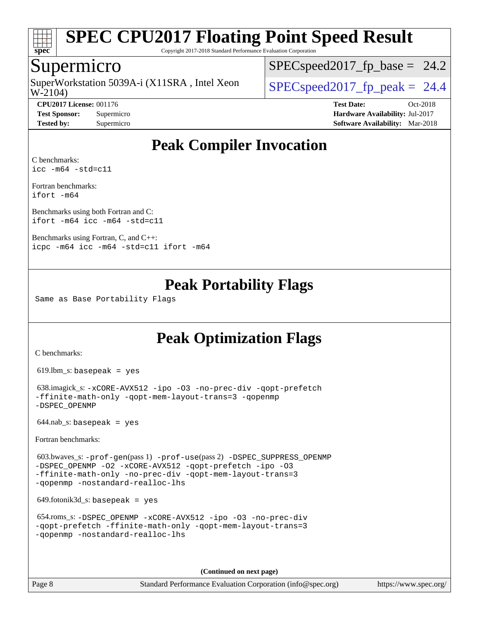

Copyright 2017-2018 Standard Performance Evaluation Corporation

### Supermicro

SuperWorkstation 5039A-i (X11SRA, Intel Xeon<br>W-2104)

 $SPECspeed2017_fp\_base = 24.2$ 

 $SPECspeed2017_fp\_peak = 24.4$ 

**[CPU2017 License:](http://www.spec.org/auto/cpu2017/Docs/result-fields.html#CPU2017License)** 001176 **[Test Date:](http://www.spec.org/auto/cpu2017/Docs/result-fields.html#TestDate)** Oct-2018 **[Test Sponsor:](http://www.spec.org/auto/cpu2017/Docs/result-fields.html#TestSponsor)** Supermicro **[Hardware Availability:](http://www.spec.org/auto/cpu2017/Docs/result-fields.html#HardwareAvailability)** Jul-2017 **[Tested by:](http://www.spec.org/auto/cpu2017/Docs/result-fields.html#Testedby)** Supermicro **[Software Availability:](http://www.spec.org/auto/cpu2017/Docs/result-fields.html#SoftwareAvailability)** Mar-2018

## **[Peak Compiler Invocation](http://www.spec.org/auto/cpu2017/Docs/result-fields.html#PeakCompilerInvocation)**

[C benchmarks](http://www.spec.org/auto/cpu2017/Docs/result-fields.html#Cbenchmarks): [icc -m64 -std=c11](http://www.spec.org/cpu2017/results/res2018q4/cpu2017-20181015-09238.flags.html#user_CCpeak_intel_icc_64bit_c11_33ee0cdaae7deeeab2a9725423ba97205ce30f63b9926c2519791662299b76a0318f32ddfffdc46587804de3178b4f9328c46fa7c2b0cd779d7a61945c91cd35)

[Fortran benchmarks](http://www.spec.org/auto/cpu2017/Docs/result-fields.html#Fortranbenchmarks): [ifort -m64](http://www.spec.org/cpu2017/results/res2018q4/cpu2017-20181015-09238.flags.html#user_FCpeak_intel_ifort_64bit_24f2bb282fbaeffd6157abe4f878425411749daecae9a33200eee2bee2fe76f3b89351d69a8130dd5949958ce389cf37ff59a95e7a40d588e8d3a57e0c3fd751)

[Benchmarks using both Fortran and C](http://www.spec.org/auto/cpu2017/Docs/result-fields.html#BenchmarksusingbothFortranandC): [ifort -m64](http://www.spec.org/cpu2017/results/res2018q4/cpu2017-20181015-09238.flags.html#user_CC_FCpeak_intel_ifort_64bit_24f2bb282fbaeffd6157abe4f878425411749daecae9a33200eee2bee2fe76f3b89351d69a8130dd5949958ce389cf37ff59a95e7a40d588e8d3a57e0c3fd751) [icc -m64 -std=c11](http://www.spec.org/cpu2017/results/res2018q4/cpu2017-20181015-09238.flags.html#user_CC_FCpeak_intel_icc_64bit_c11_33ee0cdaae7deeeab2a9725423ba97205ce30f63b9926c2519791662299b76a0318f32ddfffdc46587804de3178b4f9328c46fa7c2b0cd779d7a61945c91cd35)

[Benchmarks using Fortran, C, and C++:](http://www.spec.org/auto/cpu2017/Docs/result-fields.html#BenchmarksusingFortranCandCXX) [icpc -m64](http://www.spec.org/cpu2017/results/res2018q4/cpu2017-20181015-09238.flags.html#user_CC_CXX_FCpeak_intel_icpc_64bit_4ecb2543ae3f1412ef961e0650ca070fec7b7afdcd6ed48761b84423119d1bf6bdf5cad15b44d48e7256388bc77273b966e5eb805aefd121eb22e9299b2ec9d9) [icc -m64 -std=c11](http://www.spec.org/cpu2017/results/res2018q4/cpu2017-20181015-09238.flags.html#user_CC_CXX_FCpeak_intel_icc_64bit_c11_33ee0cdaae7deeeab2a9725423ba97205ce30f63b9926c2519791662299b76a0318f32ddfffdc46587804de3178b4f9328c46fa7c2b0cd779d7a61945c91cd35) [ifort -m64](http://www.spec.org/cpu2017/results/res2018q4/cpu2017-20181015-09238.flags.html#user_CC_CXX_FCpeak_intel_ifort_64bit_24f2bb282fbaeffd6157abe4f878425411749daecae9a33200eee2bee2fe76f3b89351d69a8130dd5949958ce389cf37ff59a95e7a40d588e8d3a57e0c3fd751)

## **[Peak Portability Flags](http://www.spec.org/auto/cpu2017/Docs/result-fields.html#PeakPortabilityFlags)**

Same as Base Portability Flags

## **[Peak Optimization Flags](http://www.spec.org/auto/cpu2017/Docs/result-fields.html#PeakOptimizationFlags)**

[C benchmarks](http://www.spec.org/auto/cpu2017/Docs/result-fields.html#Cbenchmarks):

619.lbm\_s: basepeak = yes

 638.imagick\_s: [-xCORE-AVX512](http://www.spec.org/cpu2017/results/res2018q4/cpu2017-20181015-09238.flags.html#user_peakCOPTIMIZE638_imagick_s_f-xCORE-AVX512) [-ipo](http://www.spec.org/cpu2017/results/res2018q4/cpu2017-20181015-09238.flags.html#user_peakCOPTIMIZE638_imagick_s_f-ipo) [-O3](http://www.spec.org/cpu2017/results/res2018q4/cpu2017-20181015-09238.flags.html#user_peakCOPTIMIZE638_imagick_s_f-O3) [-no-prec-div](http://www.spec.org/cpu2017/results/res2018q4/cpu2017-20181015-09238.flags.html#user_peakCOPTIMIZE638_imagick_s_f-no-prec-div) [-qopt-prefetch](http://www.spec.org/cpu2017/results/res2018q4/cpu2017-20181015-09238.flags.html#user_peakCOPTIMIZE638_imagick_s_f-qopt-prefetch) [-ffinite-math-only](http://www.spec.org/cpu2017/results/res2018q4/cpu2017-20181015-09238.flags.html#user_peakCOPTIMIZE638_imagick_s_f_finite_math_only_cb91587bd2077682c4b38af759c288ed7c732db004271a9512da14a4f8007909a5f1427ecbf1a0fb78ff2a814402c6114ac565ca162485bbcae155b5e4258871) [-qopt-mem-layout-trans=3](http://www.spec.org/cpu2017/results/res2018q4/cpu2017-20181015-09238.flags.html#user_peakCOPTIMIZE638_imagick_s_f-qopt-mem-layout-trans_de80db37974c74b1f0e20d883f0b675c88c3b01e9d123adea9b28688d64333345fb62bc4a798493513fdb68f60282f9a726aa07f478b2f7113531aecce732043) [-qopenmp](http://www.spec.org/cpu2017/results/res2018q4/cpu2017-20181015-09238.flags.html#user_peakCOPTIMIZE638_imagick_s_qopenmp_16be0c44f24f464004c6784a7acb94aca937f053568ce72f94b139a11c7c168634a55f6653758ddd83bcf7b8463e8028bb0b48b77bcddc6b78d5d95bb1df2967) [-DSPEC\\_OPENMP](http://www.spec.org/cpu2017/results/res2018q4/cpu2017-20181015-09238.flags.html#suite_peakCOPTIMIZE638_imagick_s_DSPEC_OPENMP)

 $644.nab$ <sub>S</sub>: basepeak = yes

[Fortran benchmarks](http://www.spec.org/auto/cpu2017/Docs/result-fields.html#Fortranbenchmarks):

 603.bwaves\_s: [-prof-gen](http://www.spec.org/cpu2017/results/res2018q4/cpu2017-20181015-09238.flags.html#user_peakPASS1_FFLAGSPASS1_LDFLAGS603_bwaves_s_prof_gen_5aa4926d6013ddb2a31985c654b3eb18169fc0c6952a63635c234f711e6e63dd76e94ad52365559451ec499a2cdb89e4dc58ba4c67ef54ca681ffbe1461d6b36)(pass 1) [-prof-use](http://www.spec.org/cpu2017/results/res2018q4/cpu2017-20181015-09238.flags.html#user_peakPASS2_FFLAGSPASS2_LDFLAGS603_bwaves_s_prof_use_1a21ceae95f36a2b53c25747139a6c16ca95bd9def2a207b4f0849963b97e94f5260e30a0c64f4bb623698870e679ca08317ef8150905d41bd88c6f78df73f19)(pass 2) [-DSPEC\\_SUPPRESS\\_OPENMP](http://www.spec.org/cpu2017/results/res2018q4/cpu2017-20181015-09238.flags.html#suite_peakPASS1_FOPTIMIZE603_bwaves_s_DSPEC_SUPPRESS_OPENMP) [-DSPEC\\_OPENMP](http://www.spec.org/cpu2017/results/res2018q4/cpu2017-20181015-09238.flags.html#suite_peakPASS2_FOPTIMIZE603_bwaves_s_DSPEC_OPENMP) [-O2](http://www.spec.org/cpu2017/results/res2018q4/cpu2017-20181015-09238.flags.html#user_peakPASS1_FOPTIMIZE603_bwaves_s_f-O2) [-xCORE-AVX512](http://www.spec.org/cpu2017/results/res2018q4/cpu2017-20181015-09238.flags.html#user_peakPASS2_FOPTIMIZE603_bwaves_s_f-xCORE-AVX512) [-qopt-prefetch](http://www.spec.org/cpu2017/results/res2018q4/cpu2017-20181015-09238.flags.html#user_peakPASS1_FOPTIMIZEPASS2_FOPTIMIZE603_bwaves_s_f-qopt-prefetch) [-ipo](http://www.spec.org/cpu2017/results/res2018q4/cpu2017-20181015-09238.flags.html#user_peakPASS2_FOPTIMIZE603_bwaves_s_f-ipo) [-O3](http://www.spec.org/cpu2017/results/res2018q4/cpu2017-20181015-09238.flags.html#user_peakPASS2_FOPTIMIZE603_bwaves_s_f-O3) [-ffinite-math-only](http://www.spec.org/cpu2017/results/res2018q4/cpu2017-20181015-09238.flags.html#user_peakPASS1_FOPTIMIZEPASS2_FOPTIMIZE603_bwaves_s_f_finite_math_only_cb91587bd2077682c4b38af759c288ed7c732db004271a9512da14a4f8007909a5f1427ecbf1a0fb78ff2a814402c6114ac565ca162485bbcae155b5e4258871) [-no-prec-div](http://www.spec.org/cpu2017/results/res2018q4/cpu2017-20181015-09238.flags.html#user_peakPASS2_FOPTIMIZE603_bwaves_s_f-no-prec-div) [-qopt-mem-layout-trans=3](http://www.spec.org/cpu2017/results/res2018q4/cpu2017-20181015-09238.flags.html#user_peakPASS1_FOPTIMIZEPASS2_FOPTIMIZE603_bwaves_s_f-qopt-mem-layout-trans_de80db37974c74b1f0e20d883f0b675c88c3b01e9d123adea9b28688d64333345fb62bc4a798493513fdb68f60282f9a726aa07f478b2f7113531aecce732043) [-qopenmp](http://www.spec.org/cpu2017/results/res2018q4/cpu2017-20181015-09238.flags.html#user_peakPASS2_FOPTIMIZE603_bwaves_s_qopenmp_16be0c44f24f464004c6784a7acb94aca937f053568ce72f94b139a11c7c168634a55f6653758ddd83bcf7b8463e8028bb0b48b77bcddc6b78d5d95bb1df2967) [-nostandard-realloc-lhs](http://www.spec.org/cpu2017/results/res2018q4/cpu2017-20181015-09238.flags.html#user_peakEXTRA_FOPTIMIZE603_bwaves_s_f_2003_std_realloc_82b4557e90729c0f113870c07e44d33d6f5a304b4f63d4c15d2d0f1fab99f5daaed73bdb9275d9ae411527f28b936061aa8b9c8f2d63842963b95c9dd6426b8a)

649.fotonik3d\_s: basepeak = yes

| 654.roms $s$ : -DSPEC OPENMP -xCORE-AVX512 -ipo -03 -no-prec-div |
|------------------------------------------------------------------|
| -qopt-prefetch -ffinite-math-only -qopt-mem-layout-trans=3       |
| -gopenmp -nostandard-realloc-lhs                                 |

**(Continued on next page)**